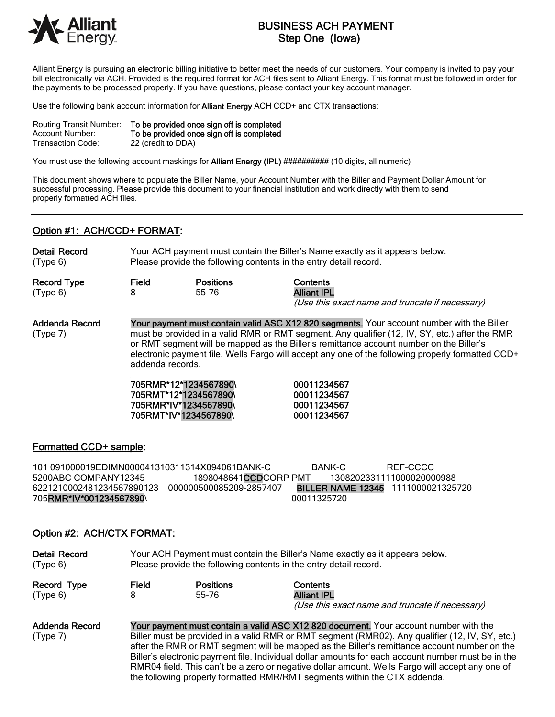

# BUSINESS ACH PAYMENT Step One (Iowa)

Alliant Energy is pursuing an electronic billing initiative to better meet the needs of our customers. Your company is invited to pay your bill electronically via ACH. Provided is the required format for ACH files sent to Alliant Energy. This format must be followed in order for the payments to be processed properly. If you have questions, please contact your key account manager.

Use the following bank account information for **Alliant Energy** ACH CCD+ and CTX transactions:

| Routing Transit Number: | To be provided once sign off is completed |
|-------------------------|-------------------------------------------|
| Account Number:         | To be provided once sign off is completed |
| Transaction Code:       | 22 (credit to DDA)                        |

You must use the following account maskings for **Alliant Energy (IPL)** ########## (10 digits, all numeric)

This document shows where to populate the Biller Name, your Account Number with the Biller and Payment Dollar Amount for successful processing. Please provide this document to your financial institution and work directly with them to send properly formatted ACH files.

# Option #1: ACH/CCD+ FORMAT:

Detail Record Your ACH payment must contain the Biller's Name exactly as it appears below. (Type 6) Please provide the following contents in the entry detail record.

Record Type Field Positions Contents (Type 6) 8 55-76 Alliant IPL

(Use this exact name and truncate if necessary)

Addenda Record Your payment must contain valid ASC X12 820 segments. Your account number with the Biller (Type 7) must be provided in a valid RMR or RMT segment. Any qualifier (12, IV, SY, etc.) after the RMR or RMT segment will be mapped as the Biller's remittance account number on the Biller's electronic payment file. Wells Fargo will accept any one of the following properly formatted CCD+ addenda records.

> 705RMR\*12\*1234567890\ 00011234567 705RMT\*12\*1234567890\ 00011234567 705RMR\*IV\*1234567890\ 00011234567 705RMT\*IV\*1234567890\ 00011234567

### Formatted CCD+ sample:

101 091000019EDIMN000041310311314X094061BANK-C BANK-C REF-CCCC 5200ABC COMPANY12345 1898048641CCDCORP PMT 1308202331111000020000988 6221210002481234567890123 000000500085209-2857407 BILLER NAME 12345 1111000021325720 705**RMR\*IV\*001234567890**\ 00011325720

### Option #2: ACH/CTX FORMAT:

| <b>Detail Record</b><br>(Type 6) |                                                                                                                                                                                                                                                                                                                                                                                                                                                                                                  | Your ACH Payment must contain the Biller's Name exactly as it appears below.<br>Please provide the following contents in the entry detail record. |                                                                                   |  |
|----------------------------------|--------------------------------------------------------------------------------------------------------------------------------------------------------------------------------------------------------------------------------------------------------------------------------------------------------------------------------------------------------------------------------------------------------------------------------------------------------------------------------------------------|---------------------------------------------------------------------------------------------------------------------------------------------------|-----------------------------------------------------------------------------------|--|
| Record Type<br>(Type 6)          | Field                                                                                                                                                                                                                                                                                                                                                                                                                                                                                            | <b>Positions</b><br>55-76                                                                                                                         | Contents<br><b>Alliant IPL</b><br>(Use this exact name and truncate if necessary) |  |
| Addenda Record<br>(Type 7)       | Your payment must contain a valid ASC X12 820 document. Your account number with the<br>Biller must be provided in a valid RMR or RMT segment (RMR02). Any qualifier (12, IV, SY, etc.)<br>after the RMR or RMT segment will be mapped as the Biller's remittance account number on the<br>Biller's electronic payment file. Individual dollar amounts for each account number must be in the<br>RMR04 field. This can't be a zero or negative dollar amount. Wells Fargo will accept any one of |                                                                                                                                                   |                                                                                   |  |

the following properly formatted RMR/RMT segments within the CTX addenda.